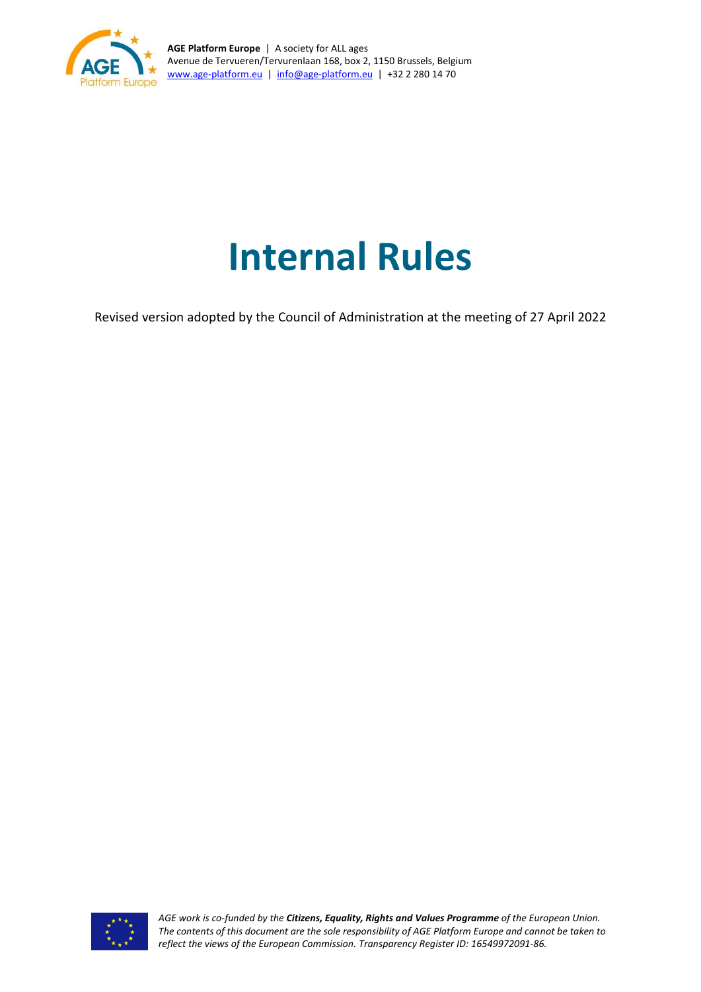

**AGE Platform Europe** | A society for ALL ages Avenue de Tervueren/Tervurenlaan 168, box 2, 1150 Brussels, Belgium [www.age-platform.eu](http://www.age-platform.eu/) | [info@age-platform.eu](mailto:info@age-platform.eu) | +32 2 280 14 70

# **Internal Rules**

Revised version adopted by the Council of Administration at the meeting of 27 April 2022



*AGE work is co-funded by the Citizens, Equality, Rights and Values Programme of the European Union. The contents of this document are the sole responsibility of AGE Platform Europe and cannot be taken to reflect the views of the European Commission. Transparency Register ID: 16549972091-86.*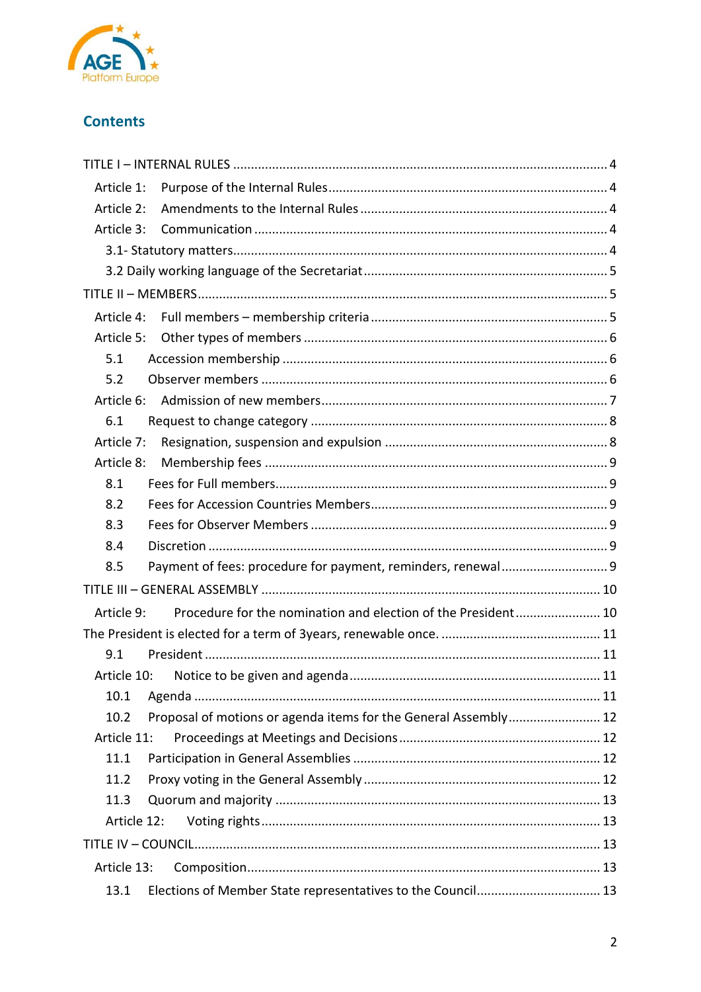

# **Contents**

| Article 1:  |                                                                 |  |  |
|-------------|-----------------------------------------------------------------|--|--|
| Article 2:  |                                                                 |  |  |
| Article 3:  |                                                                 |  |  |
|             |                                                                 |  |  |
|             |                                                                 |  |  |
|             |                                                                 |  |  |
| Article 4:  |                                                                 |  |  |
| Article 5:  |                                                                 |  |  |
| 5.1         |                                                                 |  |  |
| 5.2         |                                                                 |  |  |
| Article 6:  |                                                                 |  |  |
| 6.1         |                                                                 |  |  |
| Article 7:  |                                                                 |  |  |
| Article 8:  |                                                                 |  |  |
| 8.1         |                                                                 |  |  |
| 8.2         |                                                                 |  |  |
| 8.3         |                                                                 |  |  |
| 8.4         |                                                                 |  |  |
| 8.5         |                                                                 |  |  |
|             |                                                                 |  |  |
| Article 9:  | Procedure for the nomination and election of the President 10   |  |  |
|             |                                                                 |  |  |
| 9.1         |                                                                 |  |  |
| Article 10: |                                                                 |  |  |
| 10.1        |                                                                 |  |  |
| 10.2        | Proposal of motions or agenda items for the General Assembly 12 |  |  |
| Article 11: |                                                                 |  |  |
| 11.1        |                                                                 |  |  |
| 11.2        |                                                                 |  |  |
| 11.3        |                                                                 |  |  |
| Article 12: |                                                                 |  |  |
|             |                                                                 |  |  |
|             | Article 13:                                                     |  |  |
| 13.1        | Elections of Member State representatives to the Council 13     |  |  |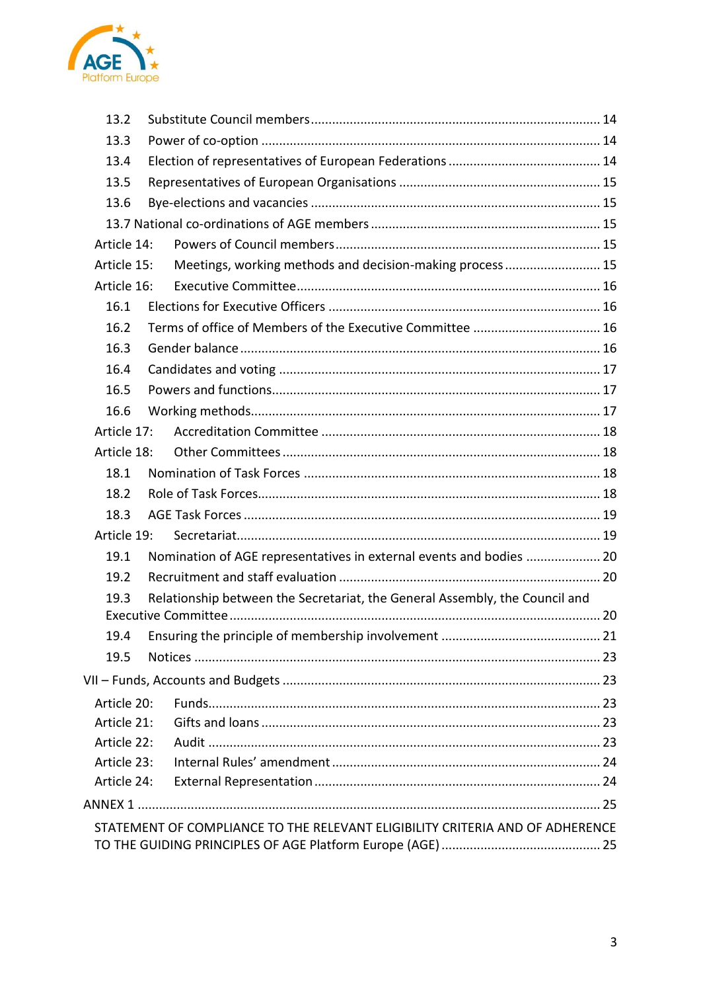

| 13.2        |                                                                               |  |
|-------------|-------------------------------------------------------------------------------|--|
| 13.3        |                                                                               |  |
| 13.4        |                                                                               |  |
| 13.5        |                                                                               |  |
| 13.6        |                                                                               |  |
|             |                                                                               |  |
| Article 14: |                                                                               |  |
| Article 15: | Meetings, working methods and decision-making process 15                      |  |
| Article 16: |                                                                               |  |
| 16.1        |                                                                               |  |
| 16.2        |                                                                               |  |
| 16.3        |                                                                               |  |
| 16.4        |                                                                               |  |
| 16.5        |                                                                               |  |
| 16.6        |                                                                               |  |
| Article 17: |                                                                               |  |
| Article 18: |                                                                               |  |
| 18.1        |                                                                               |  |
| 18.2        |                                                                               |  |
| 18.3        |                                                                               |  |
| Article 19: |                                                                               |  |
| 19.1        | Nomination of AGE representatives in external events and bodies  20           |  |
| 19.2        |                                                                               |  |
| 19.3        | Relationship between the Secretariat, the General Assembly, the Council and   |  |
|             |                                                                               |  |
|             |                                                                               |  |
| 19.5        |                                                                               |  |
|             |                                                                               |  |
| Article 20: |                                                                               |  |
| Article 21: |                                                                               |  |
| Article 22: |                                                                               |  |
| Article 23: |                                                                               |  |
| Article 24: |                                                                               |  |
|             |                                                                               |  |
|             | STATEMENT OF COMPLIANCE TO THE RELEVANT ELIGIBILITY CRITERIA AND OF ADHERENCE |  |
|             |                                                                               |  |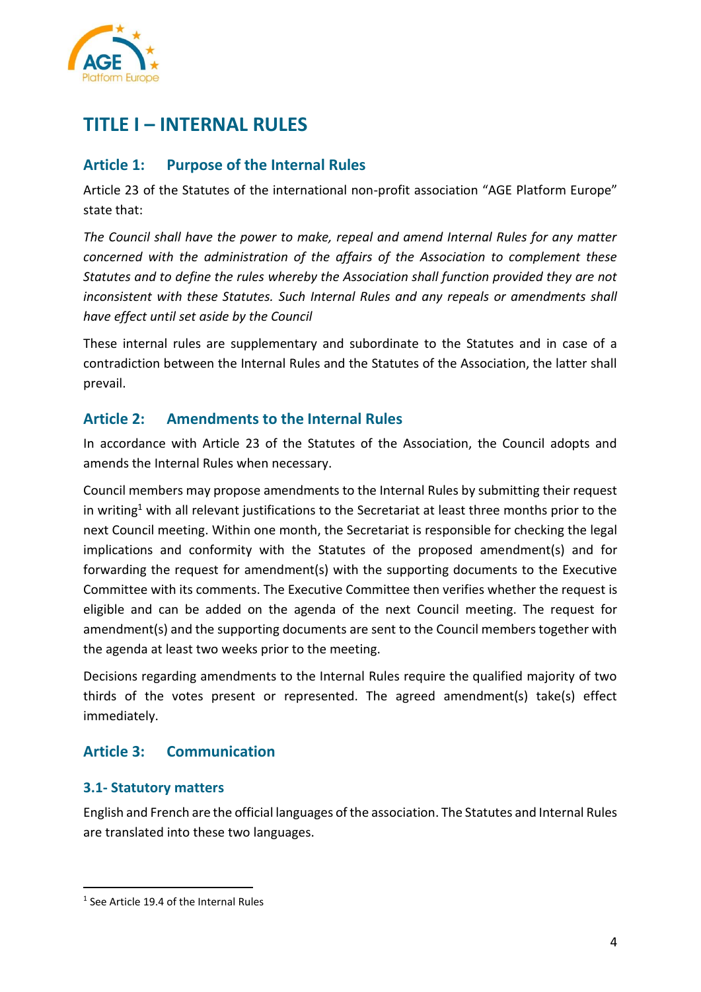

# <span id="page-3-0"></span>**TITLE I – INTERNAL RULES**

# <span id="page-3-1"></span>**Article 1: Purpose of the Internal Rules**

Article 23 of the Statutes of the international non-profit association "AGE Platform Europe" state that:

*The Council shall have the power to make, repeal and amend Internal Rules for any matter concerned with the administration of the affairs of the Association to complement these Statutes and to define the rules whereby the Association shall function provided they are not inconsistent with these Statutes. Such Internal Rules and any repeals or amendments shall have effect until set aside by the Council* 

These internal rules are supplementary and subordinate to the Statutes and in case of a contradiction between the Internal Rules and the Statutes of the Association, the latter shall prevail.

# <span id="page-3-2"></span>**Article 2: Amendments to the Internal Rules**

In accordance with Article 23 of the Statutes of the Association, the Council adopts and amends the Internal Rules when necessary.

Council members may propose amendments to the Internal Rules by submitting their request in writing<sup>1</sup> with all relevant justifications to the Secretariat at least three months prior to the next Council meeting. Within one month, the Secretariat is responsible for checking the legal implications and conformity with the Statutes of the proposed amendment(s) and for forwarding the request for amendment(s) with the supporting documents to the Executive Committee with its comments. The Executive Committee then verifies whether the request is eligible and can be added on the agenda of the next Council meeting. The request for amendment(s) and the supporting documents are sent to the Council members together with the agenda at least two weeks prior to the meeting.

Decisions regarding amendments to the Internal Rules require the qualified majority of two thirds of the votes present or represented. The agreed amendment(s) take(s) effect immediately.

# <span id="page-3-3"></span>**Article 3: Communication**

#### <span id="page-3-4"></span>**3.1- Statutory matters**

English and French are the official languages of the association. The Statutes and Internal Rules are translated into these two languages.

<sup>1</sup> See Article 19.4 of the Internal Rules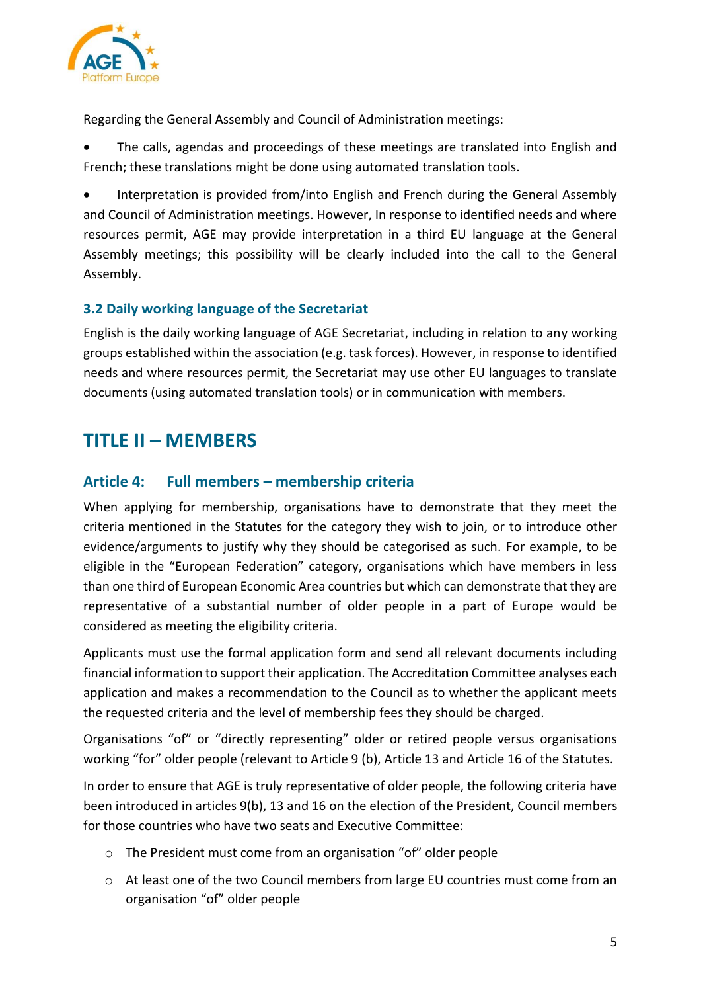

Regarding the General Assembly and Council of Administration meetings:

• The calls, agendas and proceedings of these meetings are translated into English and French; these translations might be done using automated translation tools.

• Interpretation is provided from/into English and French during the General Assembly and Council of Administration meetings. However, In response to identified needs and where resources permit, AGE may provide interpretation in a third EU language at the General Assembly meetings; this possibility will be clearly included into the call to the General Assembly.

#### <span id="page-4-0"></span>**3.2 Daily working language of the Secretariat**

English is the daily working language of AGE Secretariat, including in relation to any working groups established within the association (e.g. task forces). However, in response to identified needs and where resources permit, the Secretariat may use other EU languages to translate documents (using automated translation tools) or in communication with members.

# <span id="page-4-1"></span>**TITLE II – MEMBERS**

## <span id="page-4-2"></span>**Article 4: Full members – membership criteria**

When applying for membership, organisations have to demonstrate that they meet the criteria mentioned in the Statutes for the category they wish to join, or to introduce other evidence/arguments to justify why they should be categorised as such. For example, to be eligible in the "European Federation" category, organisations which have members in less than one third of European Economic Area countries but which can demonstrate that they are representative of a substantial number of older people in a part of Europe would be considered as meeting the eligibility criteria.

Applicants must use the formal application form and send all relevant documents including financial information to support their application. The Accreditation Committee analyses each application and makes a recommendation to the Council as to whether the applicant meets the requested criteria and the level of membership fees they should be charged.

Organisations "of" or "directly representing" older or retired people versus organisations working "for" older people (relevant to Article 9 (b), Article 13 and Article 16 of the Statutes.

In order to ensure that AGE is truly representative of older people, the following criteria have been introduced in articles 9(b), 13 and 16 on the election of the President, Council members for those countries who have two seats and Executive Committee:

- o The President must come from an organisation "of" older people
- o At least one of the two Council members from large EU countries must come from an organisation "of" older people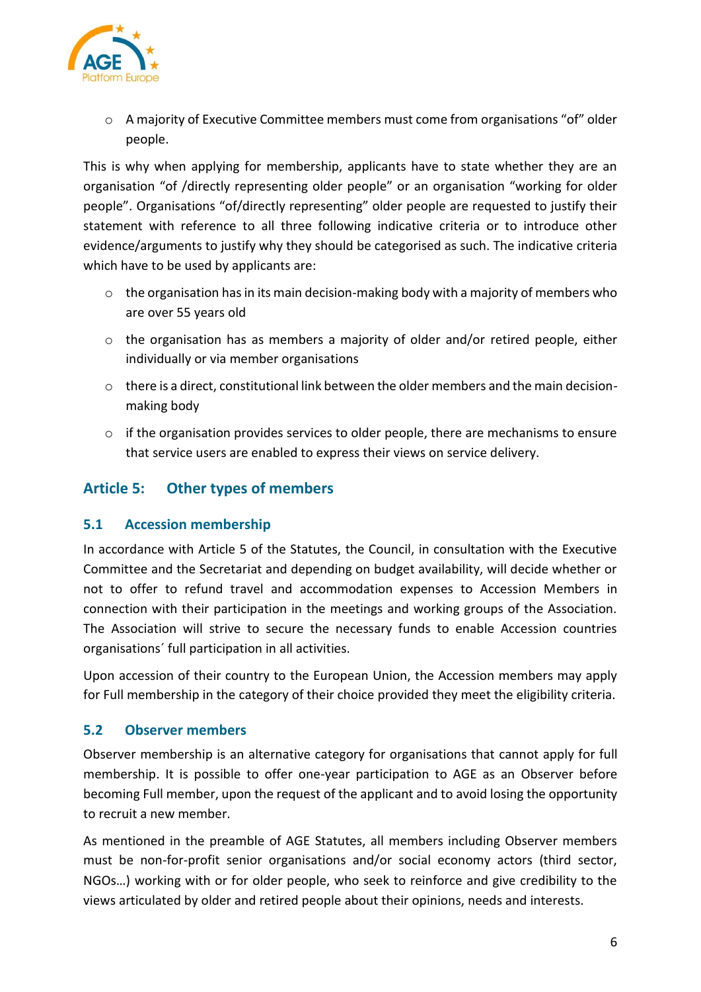

o A majority of Executive Committee members must come from organisations "of" older people.

This is why when applying for membership, applicants have to state whether they are an organisation "of /directly representing older people" or an organisation "working for older people". Organisations "of/directly representing" older people are requested to justify their statement with reference to all three following indicative criteria or to introduce other evidence/arguments to justify why they should be categorised as such. The indicative criteria which have to be used by applicants are:

- $\circ$  the organisation has in its main decision-making body with a majority of members who are over 55 years old
- $\circ$  the organisation has as members a majority of older and/or retired people, either individually or via member organisations
- $\circ$  there is a direct, constitutional link between the older members and the main decisionmaking body
- o if the organisation provides services to older people, there are mechanisms to ensure that service users are enabled to express their views on service delivery.

# <span id="page-5-0"></span>**Article 5: Other types of members**

#### <span id="page-5-1"></span>**5.1 Accession membership**

In accordance with Article 5 of the Statutes, the Council, in consultation with the Executive Committee and the Secretariat and depending on budget availability, will decide whether or not to offer to refund travel and accommodation expenses to Accession Members in connection with their participation in the meetings and working groups of the Association. The Association will strive to secure the necessary funds to enable Accession countries organisations´ full participation in all activities.

Upon accession of their country to the European Union, the Accession members may apply for Full membership in the category of their choice provided they meet the eligibility criteria.

#### <span id="page-5-2"></span>**5.2 Observer members**

Observer membership is an alternative category for organisations that cannot apply for full membership. It is possible to offer one-year participation to AGE as an Observer before becoming Full member, upon the request of the applicant and to avoid losing the opportunity to recruit a new member.

As mentioned in the preamble of AGE Statutes, all members including Observer members must be non-for-profit senior organisations and/or social economy actors (third sector, NGOs…) working with or for older people, who seek to reinforce and give credibility to the views articulated by older and retired people about their opinions, needs and interests.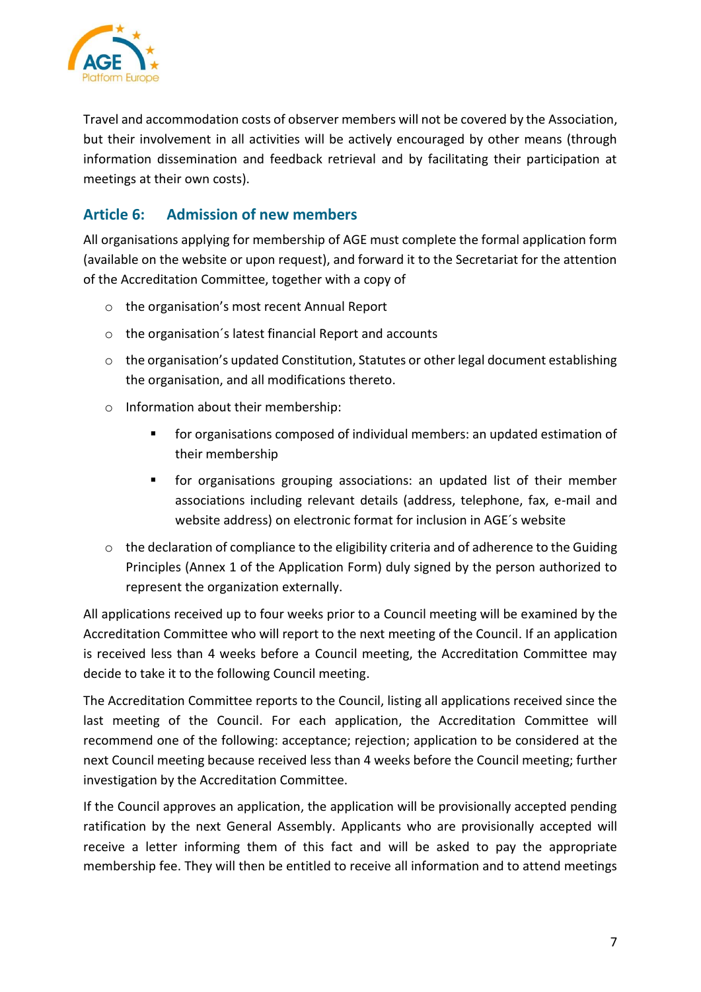

Travel and accommodation costs of observer members will not be covered by the Association, but their involvement in all activities will be actively encouraged by other means (through information dissemination and feedback retrieval and by facilitating their participation at meetings at their own costs).

# <span id="page-6-0"></span>**Article 6: Admission of new members**

All organisations applying for membership of AGE must complete the formal application form (available on the website or upon request), and forward it to the Secretariat for the attention of the Accreditation Committee, together with a copy of

- o the organisation's most recent Annual Report
- o the organisation´s latest financial Report and accounts
- o the organisation's updated Constitution, Statutes or other legal document establishing the organisation, and all modifications thereto.
- o Information about their membership:
	- for organisations composed of individual members: an updated estimation of their membership
	- for organisations grouping associations: an updated list of their member associations including relevant details (address, telephone, fax, e-mail and website address) on electronic format for inclusion in AGE´s website
- o the declaration of compliance to the eligibility criteria and of adherence to the Guiding Principles (Annex 1 of the Application Form) duly signed by the person authorized to represent the organization externally.

All applications received up to four weeks prior to a Council meeting will be examined by the Accreditation Committee who will report to the next meeting of the Council. If an application is received less than 4 weeks before a Council meeting, the Accreditation Committee may decide to take it to the following Council meeting.

The Accreditation Committee reports to the Council, listing all applications received since the last meeting of the Council. For each application, the Accreditation Committee will recommend one of the following: acceptance; rejection; application to be considered at the next Council meeting because received less than 4 weeks before the Council meeting; further investigation by the Accreditation Committee.

If the Council approves an application, the application will be provisionally accepted pending ratification by the next General Assembly. Applicants who are provisionally accepted will receive a letter informing them of this fact and will be asked to pay the appropriate membership fee. They will then be entitled to receive all information and to attend meetings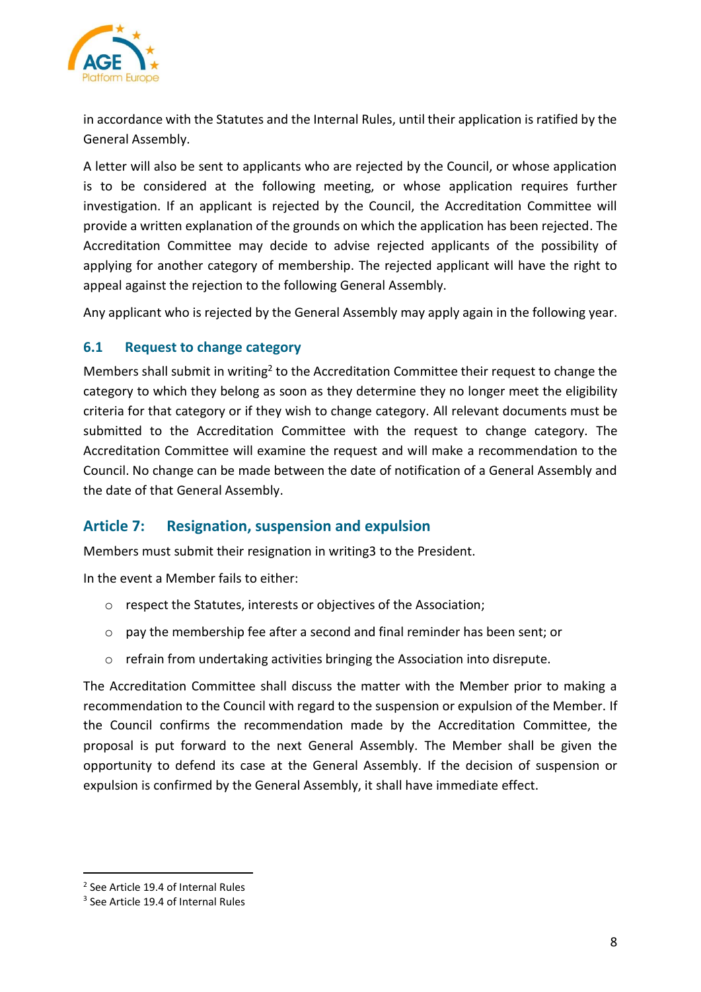

in accordance with the Statutes and the Internal Rules, until their application is ratified by the General Assembly.

A letter will also be sent to applicants who are rejected by the Council, or whose application is to be considered at the following meeting, or whose application requires further investigation. If an applicant is rejected by the Council, the Accreditation Committee will provide a written explanation of the grounds on which the application has been rejected. The Accreditation Committee may decide to advise rejected applicants of the possibility of applying for another category of membership. The rejected applicant will have the right to appeal against the rejection to the following General Assembly.

Any applicant who is rejected by the General Assembly may apply again in the following year.

#### <span id="page-7-0"></span>**6.1 Request to change category**

Members shall submit in writing<sup>2</sup> to the Accreditation Committee their request to change the category to which they belong as soon as they determine they no longer meet the eligibility criteria for that category or if they wish to change category. All relevant documents must be submitted to the Accreditation Committee with the request to change category. The Accreditation Committee will examine the request and will make a recommendation to the Council. No change can be made between the date of notification of a General Assembly and the date of that General Assembly.

# <span id="page-7-1"></span>**Article 7: Resignation, suspension and expulsion**

Members must submit their resignation in writing3 to the President.

In the event a Member fails to either:

- o respect the Statutes, interests or objectives of the Association;
- o pay the membership fee after a second and final reminder has been sent; or
- o refrain from undertaking activities bringing the Association into disrepute.

The Accreditation Committee shall discuss the matter with the Member prior to making a recommendation to the Council with regard to the suspension or expulsion of the Member. If the Council confirms the recommendation made by the Accreditation Committee, the proposal is put forward to the next General Assembly. The Member shall be given the opportunity to defend its case at the General Assembly. If the decision of suspension or expulsion is confirmed by the General Assembly, it shall have immediate effect.

<sup>&</sup>lt;sup>2</sup> See Article 19.4 of Internal Rules

<sup>&</sup>lt;sup>3</sup> See Article 19.4 of Internal Rules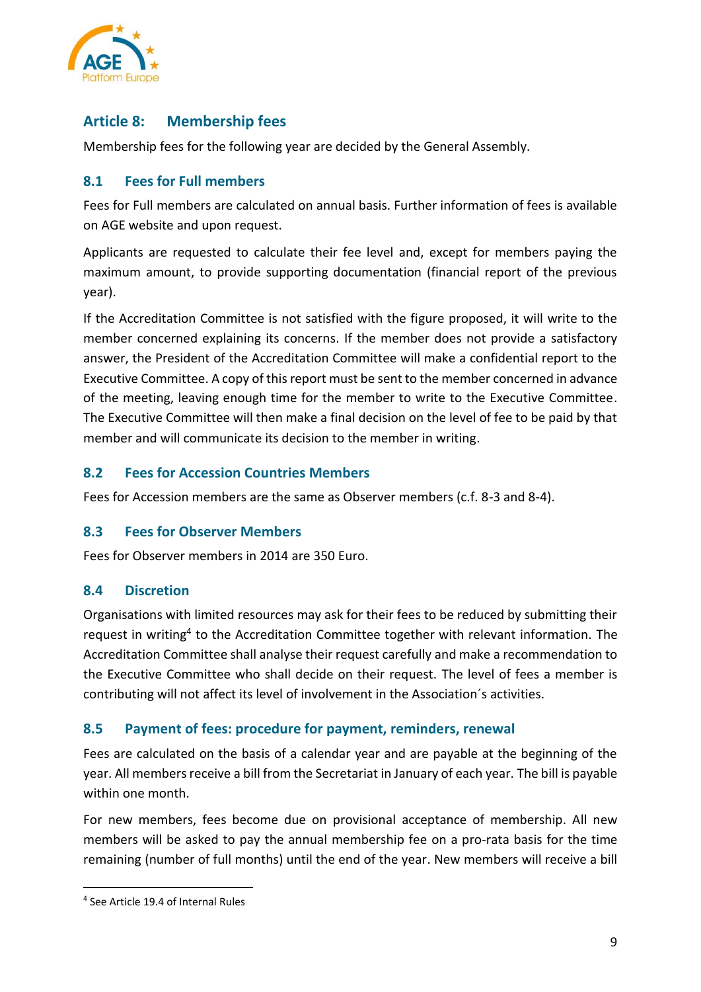

# <span id="page-8-0"></span>**Article 8: Membership fees**

Membership fees for the following year are decided by the General Assembly.

#### <span id="page-8-1"></span>**8.1 Fees for Full members**

Fees for Full members are calculated on annual basis. Further information of fees is available on AGE website and upon request.

Applicants are requested to calculate their fee level and, except for members paying the maximum amount, to provide supporting documentation (financial report of the previous year).

If the Accreditation Committee is not satisfied with the figure proposed, it will write to the member concerned explaining its concerns. If the member does not provide a satisfactory answer, the President of the Accreditation Committee will make a confidential report to the Executive Committee. A copy of this report must be sent to the member concerned in advance of the meeting, leaving enough time for the member to write to the Executive Committee. The Executive Committee will then make a final decision on the level of fee to be paid by that member and will communicate its decision to the member in writing.

#### <span id="page-8-2"></span>**8.2 Fees for Accession Countries Members**

Fees for Accession members are the same as Observer members (c.f. 8-3 and 8-4).

#### <span id="page-8-3"></span>**8.3 Fees for Observer Members**

Fees for Observer members in 2014 are 350 Euro.

#### <span id="page-8-4"></span>**8.4 Discretion**

Organisations with limited resources may ask for their fees to be reduced by submitting their request in writing<sup>4</sup> to the Accreditation Committee together with relevant information. The Accreditation Committee shall analyse their request carefully and make a recommendation to the Executive Committee who shall decide on their request. The level of fees a member is contributing will not affect its level of involvement in the Association´s activities.

#### <span id="page-8-5"></span>**8.5 Payment of fees: procedure for payment, reminders, renewal**

Fees are calculated on the basis of a calendar year and are payable at the beginning of the year. All members receive a bill from the Secretariat in January of each year. The bill is payable within one month.

For new members, fees become due on provisional acceptance of membership. All new members will be asked to pay the annual membership fee on a pro-rata basis for the time remaining (number of full months) until the end of the year. New members will receive a bill

<sup>4</sup> See Article 19.4 of Internal Rules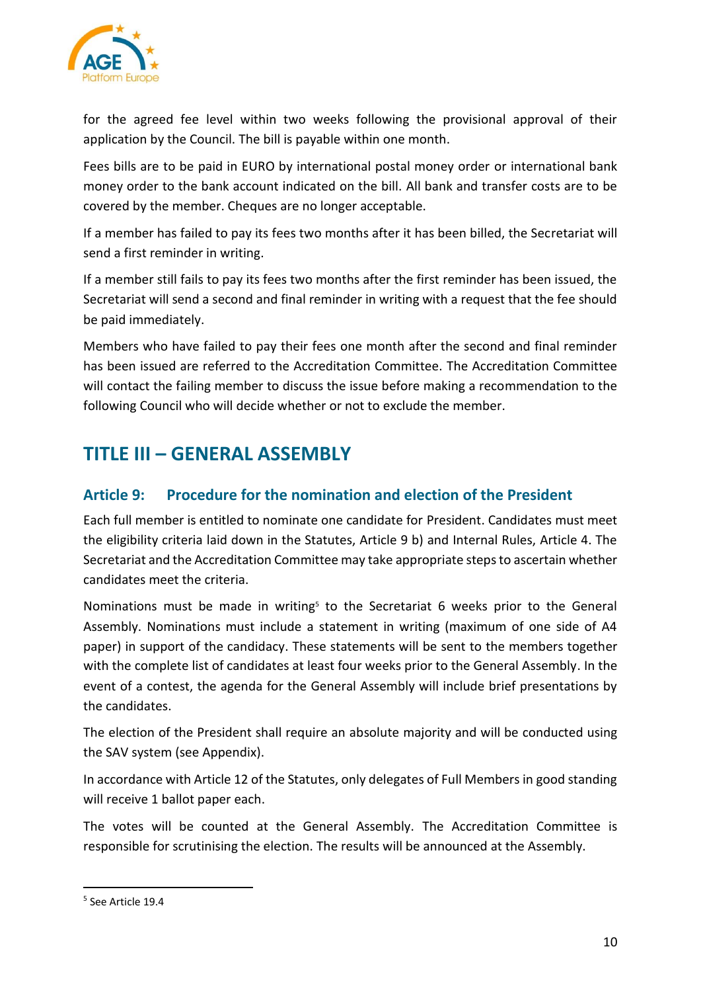

for the agreed fee level within two weeks following the provisional approval of their application by the Council. The bill is payable within one month.

Fees bills are to be paid in EURO by international postal money order or international bank money order to the bank account indicated on the bill. All bank and transfer costs are to be covered by the member. Cheques are no longer acceptable.

If a member has failed to pay its fees two months after it has been billed, the Secretariat will send a first reminder in writing.

If a member still fails to pay its fees two months after the first reminder has been issued, the Secretariat will send a second and final reminder in writing with a request that the fee should be paid immediately.

Members who have failed to pay their fees one month after the second and final reminder has been issued are referred to the Accreditation Committee. The Accreditation Committee will contact the failing member to discuss the issue before making a recommendation to the following Council who will decide whether or not to exclude the member.

# <span id="page-9-0"></span>**TITLE III – GENERAL ASSEMBLY**

# <span id="page-9-1"></span>**Article 9: Procedure for the nomination and election of the President**

Each full member is entitled to nominate one candidate for President. Candidates must meet the eligibility criteria laid down in the Statutes, Article 9 b) and Internal Rules, Article 4. The Secretariat and the Accreditation Committee may take appropriate steps to ascertain whether candidates meet the criteria.

Nominations must be made in writing<sup>5</sup> to the Secretariat 6 weeks prior to the General Assembly. Nominations must include a statement in writing (maximum of one side of A4 paper) in support of the candidacy. These statements will be sent to the members together with the complete list of candidates at least four weeks prior to the General Assembly. In the event of a contest, the agenda for the General Assembly will include brief presentations by the candidates.

The election of the President shall require an absolute majority and will be conducted using the SAV system (see Appendix).

In accordance with Article 12 of the Statutes, only delegates of Full Members in good standing will receive 1 ballot paper each.

The votes will be counted at the General Assembly. The Accreditation Committee is responsible for scrutinising the election. The results will be announced at the Assembly.

<sup>5</sup> See Article 19.4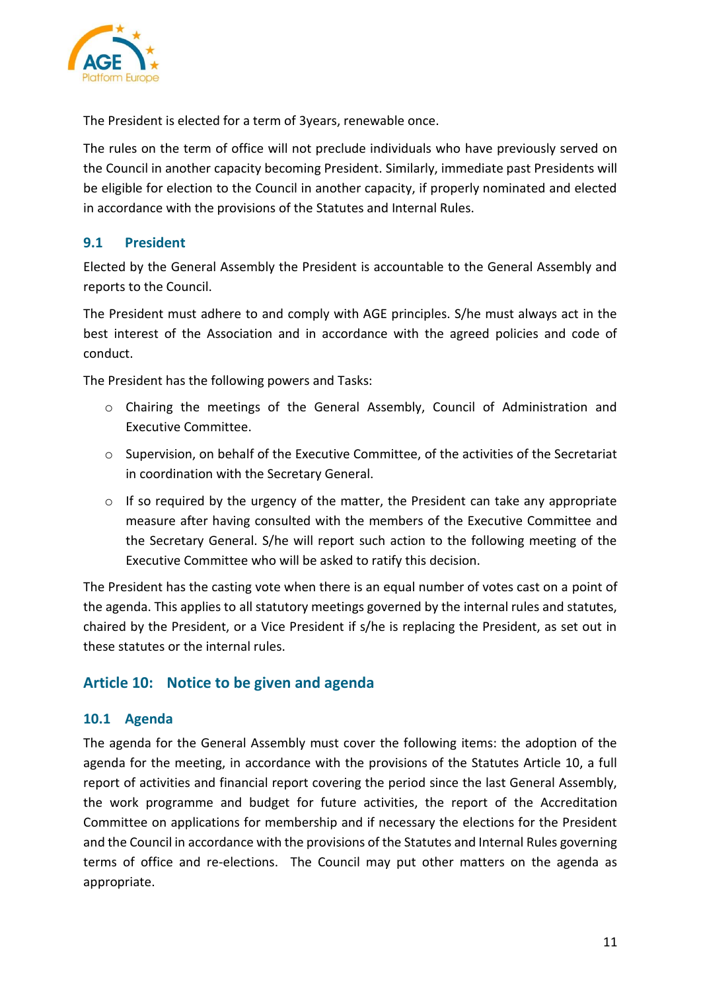

<span id="page-10-0"></span>The President is elected for a term of 3years, renewable once.

The rules on the term of office will not preclude individuals who have previously served on the Council in another capacity becoming President. Similarly, immediate past Presidents will be eligible for election to the Council in another capacity, if properly nominated and elected in accordance with the provisions of the Statutes and Internal Rules.

#### <span id="page-10-1"></span>**9.1 President**

Elected by the General Assembly the President is accountable to the General Assembly and reports to the Council.

The President must adhere to and comply with AGE principles. S/he must always act in the best interest of the Association and in accordance with the agreed policies and code of conduct.

The President has the following powers and Tasks:

- o Chairing the meetings of the General Assembly, Council of Administration and Executive Committee.
- o Supervision, on behalf of the Executive Committee, of the activities of the Secretariat in coordination with the Secretary General.
- o If so required by the urgency of the matter, the President can take any appropriate measure after having consulted with the members of the Executive Committee and the Secretary General. S/he will report such action to the following meeting of the Executive Committee who will be asked to ratify this decision.

The President has the casting vote when there is an equal number of votes cast on a point of the agenda. This applies to all statutory meetings governed by the internal rules and statutes, chaired by the President, or a Vice President if s/he is replacing the President, as set out in these statutes or the internal rules.

#### <span id="page-10-2"></span>**Article 10: Notice to be given and agenda**

#### <span id="page-10-3"></span>**10.1 Agenda**

The agenda for the General Assembly must cover the following items: the adoption of the agenda for the meeting, in accordance with the provisions of the Statutes Article 10, a full report of activities and financial report covering the period since the last General Assembly, the work programme and budget for future activities, the report of the Accreditation Committee on applications for membership and if necessary the elections for the President and the Council in accordance with the provisions of the Statutes and Internal Rules governing terms of office and re-elections. The Council may put other matters on the agenda as appropriate.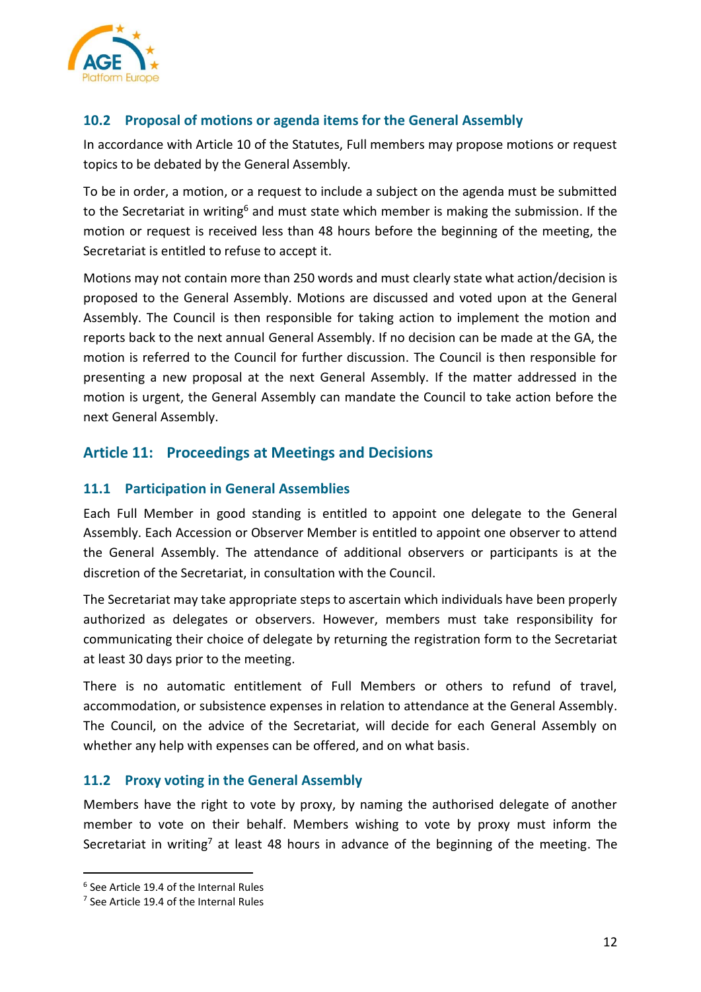

## <span id="page-11-0"></span>**10.2 Proposal of motions or agenda items for the General Assembly**

In accordance with Article 10 of the Statutes, Full members may propose motions or request topics to be debated by the General Assembly*.*

To be in order, a motion, or a request to include a subject on the agenda must be submitted to the Secretariat in writing<sup>6</sup> and must state which member is making the submission. If the motion or request is received less than 48 hours before the beginning of the meeting, the Secretariat is entitled to refuse to accept it.

Motions may not contain more than 250 words and must clearly state what action/decision is proposed to the General Assembly. Motions are discussed and voted upon at the General Assembly. The Council is then responsible for taking action to implement the motion and reports back to the next annual General Assembly. If no decision can be made at the GA, the motion is referred to the Council for further discussion. The Council is then responsible for presenting a new proposal at the next General Assembly. If the matter addressed in the motion is urgent, the General Assembly can mandate the Council to take action before the next General Assembly.

## <span id="page-11-1"></span>**Article 11: Proceedings at Meetings and Decisions**

#### <span id="page-11-2"></span>**11.1 Participation in General Assemblies**

Each Full Member in good standing is entitled to appoint one delegate to the General Assembly. Each Accession or Observer Member is entitled to appoint one observer to attend the General Assembly. The attendance of additional observers or participants is at the discretion of the Secretariat, in consultation with the Council.

The Secretariat may take appropriate steps to ascertain which individuals have been properly authorized as delegates or observers. However, members must take responsibility for communicating their choice of delegate by returning the registration form to the Secretariat at least 30 days prior to the meeting.

There is no automatic entitlement of Full Members or others to refund of travel, accommodation, or subsistence expenses in relation to attendance at the General Assembly. The Council, on the advice of the Secretariat, will decide for each General Assembly on whether any help with expenses can be offered, and on what basis.

#### <span id="page-11-3"></span>**11.2 Proxy voting in the General Assembly**

Members have the right to vote by proxy, by naming the authorised delegate of another member to vote on their behalf. Members wishing to vote by proxy must inform the Secretariat in writing<sup>7</sup> at least 48 hours in advance of the beginning of the meeting. The

<sup>6</sup> See Article 19.4 of the Internal Rules

<sup>&</sup>lt;sup>7</sup> See Article 19.4 of the Internal Rules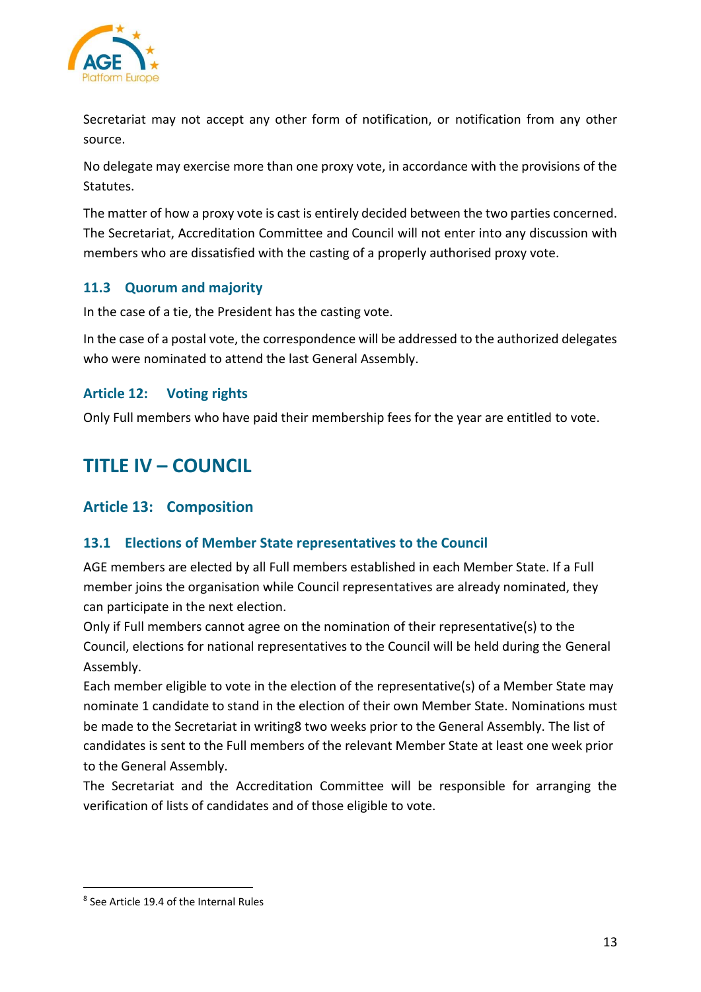

Secretariat may not accept any other form of notification, or notification from any other source.

No delegate may exercise more than one proxy vote, in accordance with the provisions of the Statutes.

The matter of how a proxy vote is cast is entirely decided between the two parties concerned. The Secretariat, Accreditation Committee and Council will not enter into any discussion with members who are dissatisfied with the casting of a properly authorised proxy vote.

#### <span id="page-12-0"></span>**11.3 Quorum and majority**

In the case of a tie, the President has the casting vote.

In the case of a postal vote, the correspondence will be addressed to the authorized delegates who were nominated to attend the last General Assembly.

#### <span id="page-12-1"></span>**Article 12: Voting rights**

Only Full members who have paid their membership fees for the year are entitled to vote.

# <span id="page-12-2"></span>**TITLE IV – COUNCIL**

# <span id="page-12-3"></span>**Article 13: Composition**

#### <span id="page-12-4"></span>**13.1 Elections of Member State representatives to the Council**

AGE members are elected by all Full members established in each Member State. If a Full member joins the organisation while Council representatives are already nominated, they can participate in the next election.

Only if Full members cannot agree on the nomination of their representative(s) to the Council, elections for national representatives to the Council will be held during the General Assembly.

Each member eligible to vote in the election of the representative(s) of a Member State may nominate 1 candidate to stand in the election of their own Member State. Nominations must be made to the Secretariat in writing8 two weeks prior to the General Assembly. The list of candidates is sent to the Full members of the relevant Member State at least one week prior to the General Assembly.

The Secretariat and the Accreditation Committee will be responsible for arranging the verification of lists of candidates and of those eligible to vote.

<sup>8</sup> See Article 19.4 of the Internal Rules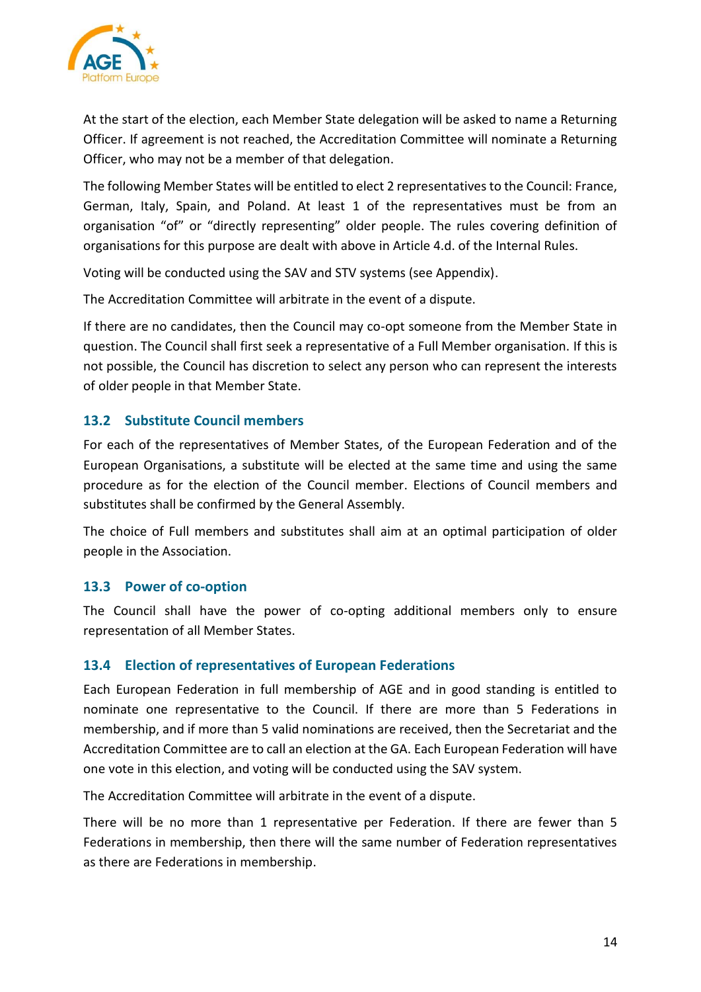

At the start of the election, each Member State delegation will be asked to name a Returning Officer. If agreement is not reached, the Accreditation Committee will nominate a Returning Officer, who may not be a member of that delegation.

The following Member States will be entitled to elect 2 representatives to the Council: France, German, Italy, Spain, and Poland. At least 1 of the representatives must be from an organisation "of" or "directly representing" older people. The rules covering definition of organisations for this purpose are dealt with above in Article 4.d. of the Internal Rules.

Voting will be conducted using the SAV and STV systems (see Appendix).

The Accreditation Committee will arbitrate in the event of a dispute.

If there are no candidates, then the Council may co-opt someone from the Member State in question. The Council shall first seek a representative of a Full Member organisation. If this is not possible, the Council has discretion to select any person who can represent the interests of older people in that Member State.

#### <span id="page-13-0"></span>**13.2 Substitute Council members**

For each of the representatives of Member States, of the European Federation and of the European Organisations, a substitute will be elected at the same time and using the same procedure as for the election of the Council member. Elections of Council members and substitutes shall be confirmed by the General Assembly.

The choice of Full members and substitutes shall aim at an optimal participation of older people in the Association.

#### <span id="page-13-1"></span>**13.3 Power of co-option**

The Council shall have the power of co-opting additional members only to ensure representation of all Member States.

#### <span id="page-13-2"></span>**13.4 Election of representatives of European Federations**

Each European Federation in full membership of AGE and in good standing is entitled to nominate one representative to the Council. If there are more than 5 Federations in membership, and if more than 5 valid nominations are received, then the Secretariat and the Accreditation Committee are to call an election at the GA. Each European Federation will have one vote in this election, and voting will be conducted using the SAV system.

The Accreditation Committee will arbitrate in the event of a dispute.

There will be no more than 1 representative per Federation. If there are fewer than 5 Federations in membership, then there will the same number of Federation representatives as there are Federations in membership.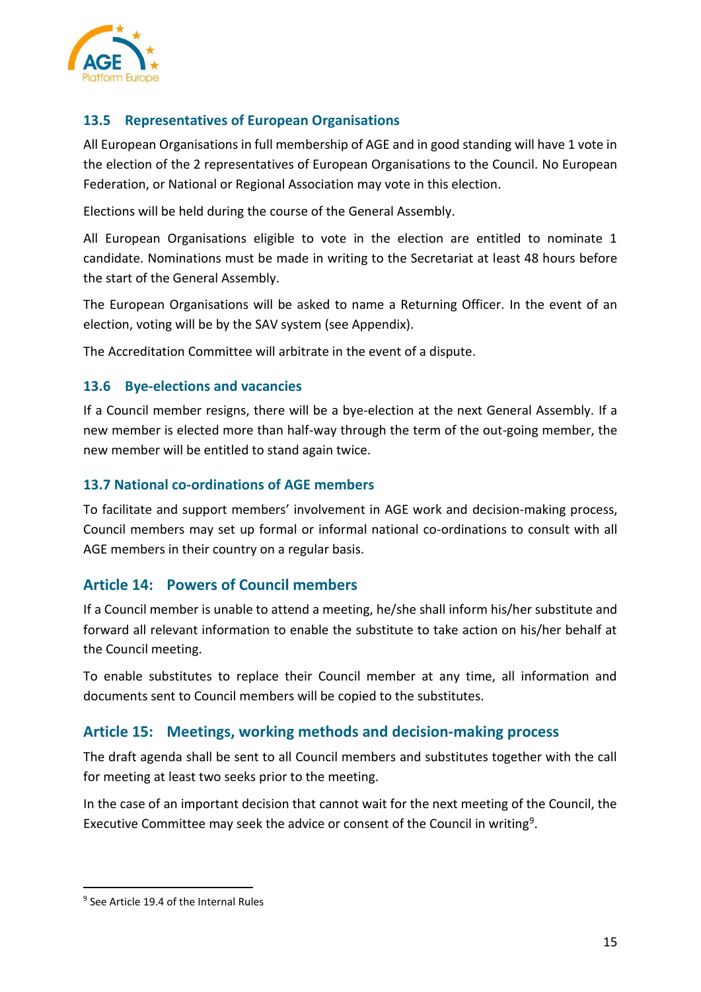

## <span id="page-14-0"></span>**13.5 Representatives of European Organisations**

All European Organisations in full membership of AGE and in good standing will have 1 vote in the election of the 2 representatives of European Organisations to the Council. No European Federation, or National or Regional Association may vote in this election.

Elections will be held during the course of the General Assembly.

All European Organisations eligible to vote in the election are entitled to nominate 1 candidate. Nominations must be made in writing to the Secretariat at least 48 hours before the start of the General Assembly.

The European Organisations will be asked to name a Returning Officer. In the event of an election, voting will be by the SAV system (see Appendix).

The Accreditation Committee will arbitrate in the event of a dispute.

#### <span id="page-14-1"></span>**13.6 Bye-elections and vacancies**

If a Council member resigns, there will be a bye-election at the next General Assembly. If a new member is elected more than half-way through the term of the out-going member, the new member will be entitled to stand again twice.

#### <span id="page-14-2"></span>**13.7 National co-ordinations of AGE members**

To facilitate and support members' involvement in AGE work and decision-making process, Council members may set up formal or informal national co-ordinations to consult with all AGE members in their country on a regular basis.

#### <span id="page-14-3"></span>**Article 14: Powers of Council members**

If a Council member is unable to attend a meeting, he/she shall inform his/her substitute and forward all relevant information to enable the substitute to take action on his/her behalf at the Council meeting.

To enable substitutes to replace their Council member at any time, all information and documents sent to Council members will be copied to the substitutes.

#### <span id="page-14-4"></span>**Article 15: Meetings, working methods and decision-making process**

The draft agenda shall be sent to all Council members and substitutes together with the call for meeting at least two seeks prior to the meeting.

In the case of an important decision that cannot wait for the next meeting of the Council, the Executive Committee may seek the advice or consent of the Council in writing<sup>9</sup>.

<sup>&</sup>lt;sup>9</sup> See Article 19.4 of the Internal Rules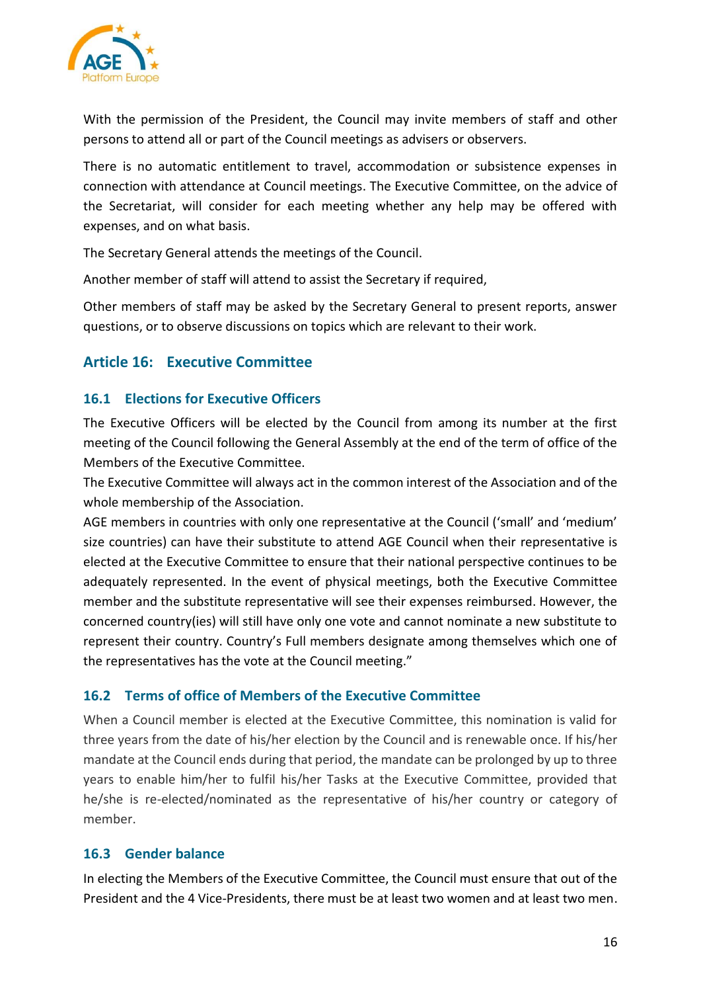

With the permission of the President, the Council may invite members of staff and other persons to attend all or part of the Council meetings as advisers or observers.

There is no automatic entitlement to travel, accommodation or subsistence expenses in connection with attendance at Council meetings. The Executive Committee, on the advice of the Secretariat, will consider for each meeting whether any help may be offered with expenses, and on what basis.

The Secretary General attends the meetings of the Council.

Another member of staff will attend to assist the Secretary if required,

Other members of staff may be asked by the Secretary General to present reports, answer questions, or to observe discussions on topics which are relevant to their work.

# <span id="page-15-0"></span>**Article 16: Executive Committee**

#### <span id="page-15-1"></span>**16.1 Elections for Executive Officers**

The Executive Officers will be elected by the Council from among its number at the first meeting of the Council following the General Assembly at the end of the term of office of the Members of the Executive Committee.

The Executive Committee will always act in the common interest of the Association and of the whole membership of the Association.

AGE members in countries with only one representative at the Council ('small' and 'medium' size countries) can have their substitute to attend AGE Council when their representative is elected at the Executive Committee to ensure that their national perspective continues to be adequately represented. In the event of physical meetings, both the Executive Committee member and the substitute representative will see their expenses reimbursed. However, the concerned country(ies) will still have only one vote and cannot nominate a new substitute to represent their country. Country's Full members designate among themselves which one of the representatives has the vote at the Council meeting."

#### <span id="page-15-2"></span>**16.2 Terms of office of Members of the Executive Committee**

When a Council member is elected at the Executive Committee, this nomination is valid for three years from the date of his/her election by the Council and is renewable once. If his/her mandate at the Council ends during that period, the mandate can be prolonged by up to three years to enable him/her to fulfil his/her Tasks at the Executive Committee, provided that he/she is re-elected/nominated as the representative of his/her country or category of member.

## <span id="page-15-3"></span>**16.3 Gender balance**

In electing the Members of the Executive Committee, the Council must ensure that out of the President and the 4 Vice-Presidents, there must be at least two women and at least two men.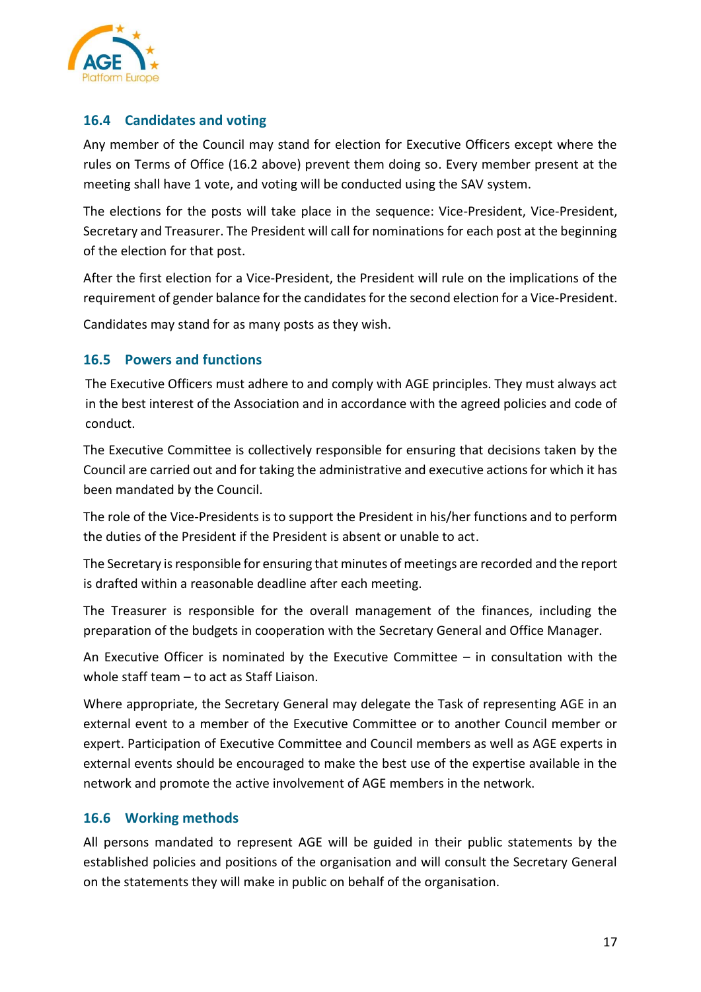

#### <span id="page-16-0"></span>**16.4 Candidates and voting**

Any member of the Council may stand for election for Executive Officers except where the rules on Terms of Office (16.2 above) prevent them doing so. Every member present at the meeting shall have 1 vote, and voting will be conducted using the SAV system.

The elections for the posts will take place in the sequence: Vice-President, Vice-President, Secretary and Treasurer. The President will call for nominations for each post at the beginning of the election for that post.

After the first election for a Vice-President, the President will rule on the implications of the requirement of gender balance for the candidates for the second election for a Vice-President.

Candidates may stand for as many posts as they wish.

## <span id="page-16-1"></span>**16.5 Powers and functions**

The Executive Officers must adhere to and comply with AGE principles. They must always act in the best interest of the Association and in accordance with the agreed policies and code of conduct.

The Executive Committee is collectively responsible for ensuring that decisions taken by the Council are carried out and for taking the administrative and executive actions for which it has been mandated by the Council.

The role of the Vice-Presidents is to support the President in his/her functions and to perform the duties of the President if the President is absent or unable to act.

The Secretary is responsible for ensuring that minutes of meetings are recorded and the report is drafted within a reasonable deadline after each meeting.

The Treasurer is responsible for the overall management of the finances, including the preparation of the budgets in cooperation with the Secretary General and Office Manager.

An Executive Officer is nominated by the Executive Committee – in consultation with the whole staff team – to act as Staff Liaison.

Where appropriate, the Secretary General may delegate the Task of representing AGE in an external event to a member of the Executive Committee or to another Council member or expert. Participation of Executive Committee and Council members as well as AGE experts in external events should be encouraged to make the best use of the expertise available in the network and promote the active involvement of AGE members in the network.

#### <span id="page-16-2"></span>**16.6 Working methods**

All persons mandated to represent AGE will be guided in their public statements by the established policies and positions of the organisation and will consult the Secretary General on the statements they will make in public on behalf of the organisation.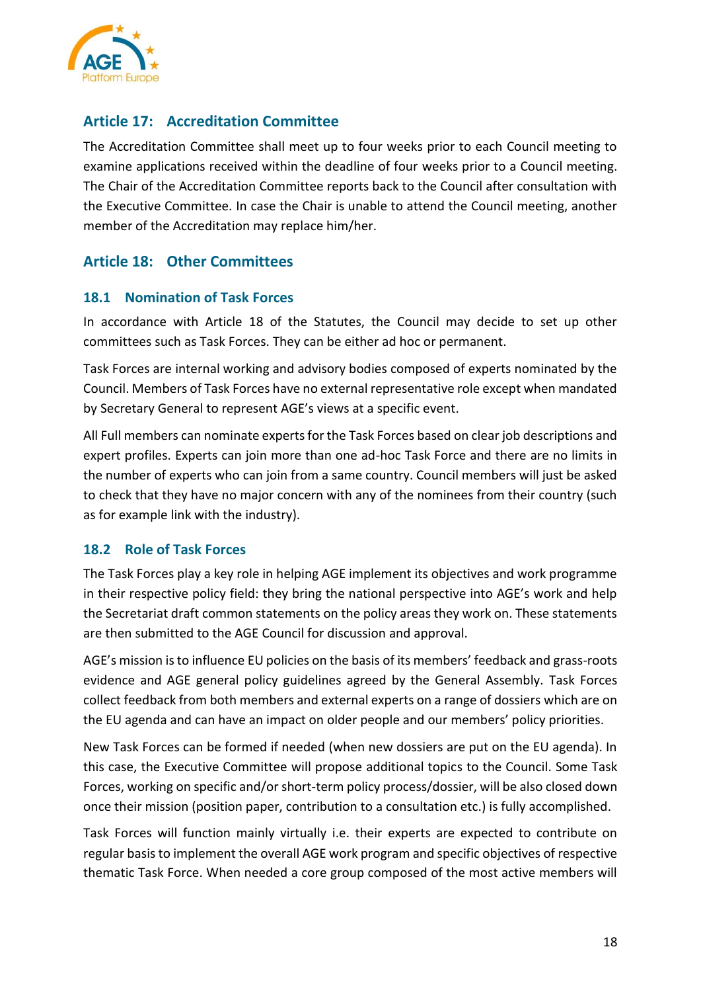

# <span id="page-17-0"></span>**Article 17: Accreditation Committee**

The Accreditation Committee shall meet up to four weeks prior to each Council meeting to examine applications received within the deadline of four weeks prior to a Council meeting. The Chair of the Accreditation Committee reports back to the Council after consultation with the Executive Committee. In case the Chair is unable to attend the Council meeting, another member of the Accreditation may replace him/her.

# <span id="page-17-1"></span>**Article 18: Other Committees**

#### <span id="page-17-2"></span>**18.1 Nomination of Task Forces**

In accordance with Article 18 of the Statutes, the Council may decide to set up other committees such as Task Forces. They can be either ad hoc or permanent.

Task Forces are internal working and advisory bodies composed of experts nominated by the Council. Members of Task Forces have no external representative role except when mandated by Secretary General to represent AGE's views at a specific event.

All Full members can nominate experts for the Task Forces based on clear job descriptions and expert profiles. Experts can join more than one ad-hoc Task Force and there are no limits in the number of experts who can join from a same country. Council members will just be asked to check that they have no major concern with any of the nominees from their country (such as for example link with the industry).

#### <span id="page-17-3"></span>**18.2 Role of Task Forces**

The Task Forces play a key role in helping AGE implement its objectives and work programme in their respective policy field: they bring the national perspective into AGE's work and help the Secretariat draft common statements on the policy areas they work on. These statements are then submitted to the AGE Council for discussion and approval.

AGE's mission is to influence EU policies on the basis of its members' feedback and grass-roots evidence and AGE general policy guidelines agreed by the General Assembly. Task Forces collect feedback from both members and external experts on a range of dossiers which are on the EU agenda and can have an impact on older people and our members' policy priorities.

New Task Forces can be formed if needed (when new dossiers are put on the EU agenda). In this case, the Executive Committee will propose additional topics to the Council. Some Task Forces, working on specific and/or short-term policy process/dossier, will be also closed down once their mission (position paper, contribution to a consultation etc.) is fully accomplished.

Task Forces will function mainly virtually i.e. their experts are expected to contribute on regular basis to implement the overall AGE work program and specific objectives of respective thematic Task Force. When needed a core group composed of the most active members will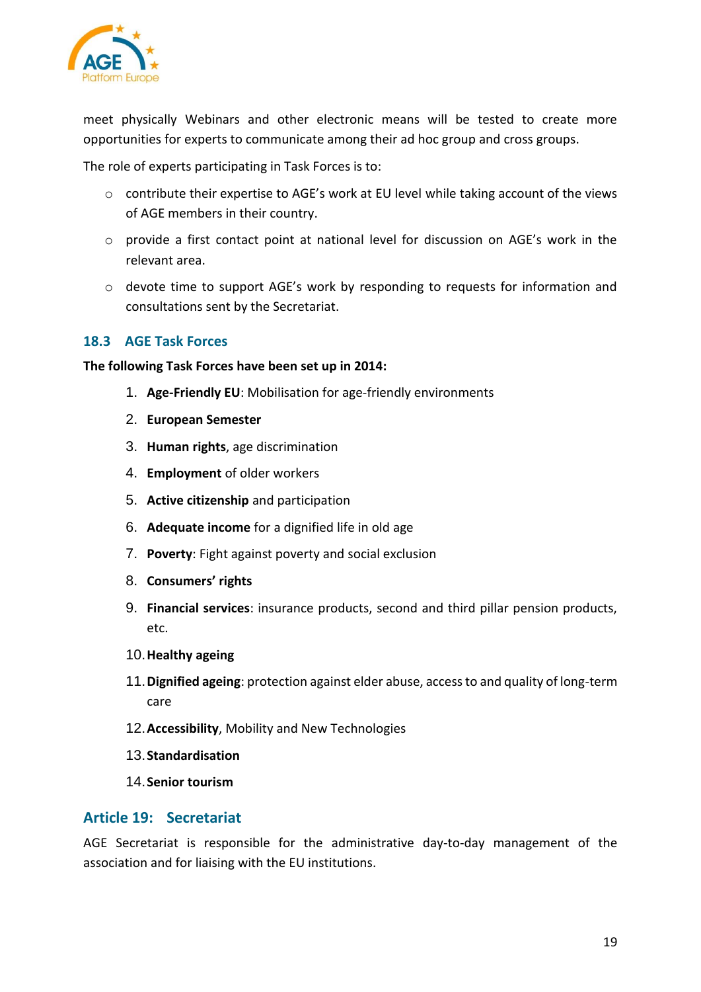

meet physically Webinars and other electronic means will be tested to create more opportunities for experts to communicate among their ad hoc group and cross groups.

The role of experts participating in Task Forces is to:

- o contribute their expertise to AGE's work at EU level while taking account of the views of AGE members in their country.
- $\circ$  provide a first contact point at national level for discussion on AGE's work in the relevant area.
- o devote time to support AGE's work by responding to requests for information and consultations sent by the Secretariat.

#### <span id="page-18-0"></span>**18.3 AGE Task Forces**

#### **The following Task Forces have been set up in 2014:**

- 1. **Age-Friendly EU**: Mobilisation for age-friendly environments
- 2. **European Semester**
- 3. **Human rights**, age discrimination
- 4. **Employment** of older workers
- 5. **Active citizenship** and participation
- 6. **Adequate income** for a dignified life in old age
- 7. **Poverty**: Fight against poverty and social exclusion
- 8. **Consumers' rights**
- 9. **Financial services**: insurance products, second and third pillar pension products, etc.
- 10.**Healthy ageing**
- 11.**Dignified ageing**: protection against elder abuse, access to and quality of long-term care
- 12.**Accessibility**, Mobility and New Technologies
- 13.**Standardisation**
- 14.**Senior tourism**

#### <span id="page-18-1"></span>**Article 19: Secretariat**

AGE Secretariat is responsible for the administrative day-to-day management of the association and for liaising with the EU institutions.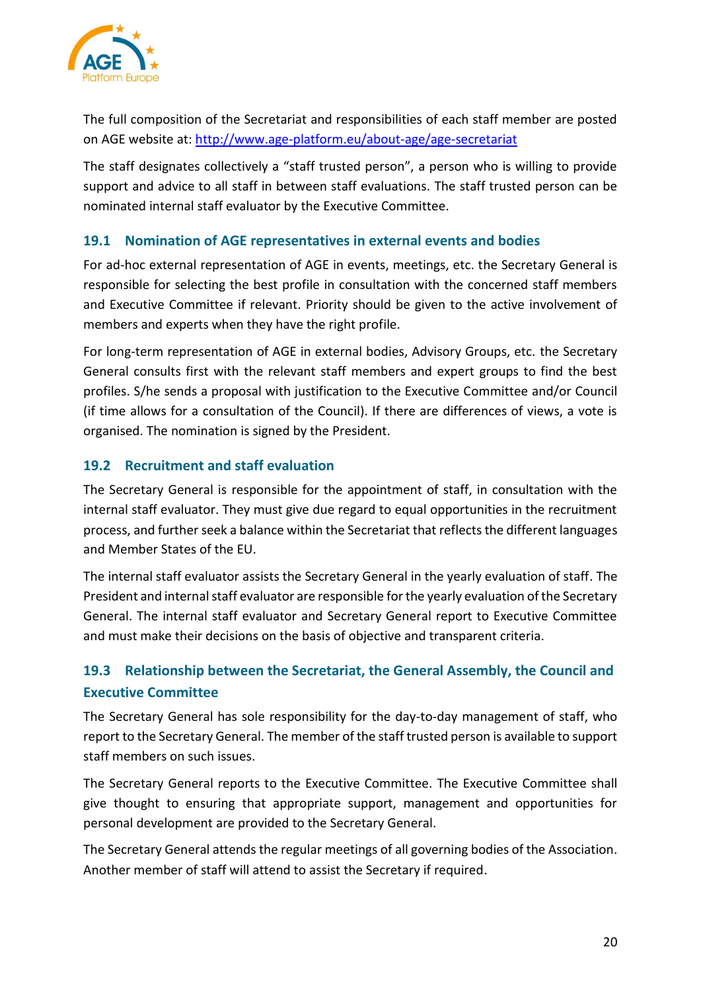

The full composition of the Secretariat and responsibilities of each staff member are posted on AGE website at: <http://www.age-platform.eu/about-age/age-secretariat>

The staff designates collectively a "staff trusted person", a person who is willing to provide support and advice to all staff in between staff evaluations. The staff trusted person can be nominated internal staff evaluator by the Executive Committee.

#### <span id="page-19-0"></span>**19.1 Nomination of AGE representatives in external events and bodies**

For ad-hoc external representation of AGE in events, meetings, etc. the Secretary General is responsible for selecting the best profile in consultation with the concerned staff members and Executive Committee if relevant. Priority should be given to the active involvement of members and experts when they have the right profile.

For long-term representation of AGE in external bodies, Advisory Groups, etc. the Secretary General consults first with the relevant staff members and expert groups to find the best profiles. S/he sends a proposal with justification to the Executive Committee and/or Council (if time allows for a consultation of the Council). If there are differences of views, a vote is organised. The nomination is signed by the President.

#### <span id="page-19-1"></span>**19.2 Recruitment and staff evaluation**

The Secretary General is responsible for the appointment of staff, in consultation with the internal staff evaluator. They must give due regard to equal opportunities in the recruitment process, and further seek a balance within the Secretariat that reflects the different languages and Member States of the EU.

The internal staff evaluator assists the Secretary General in the yearly evaluation of staff. The President and internal staff evaluator are responsible for the yearly evaluation of the Secretary General. The internal staff evaluator and Secretary General report to Executive Committee and must make their decisions on the basis of objective and transparent criteria.

# <span id="page-19-2"></span>**19.3 Relationship between the Secretariat, the General Assembly, the Council and Executive Committee**

The Secretary General has sole responsibility for the day-to-day management of staff, who report to the Secretary General. The member of the staff trusted person is available to support staff members on such issues.

The Secretary General reports to the Executive Committee. The Executive Committee shall give thought to ensuring that appropriate support, management and opportunities for personal development are provided to the Secretary General.

The Secretary General attends the regular meetings of all governing bodies of the Association. Another member of staff will attend to assist the Secretary if required.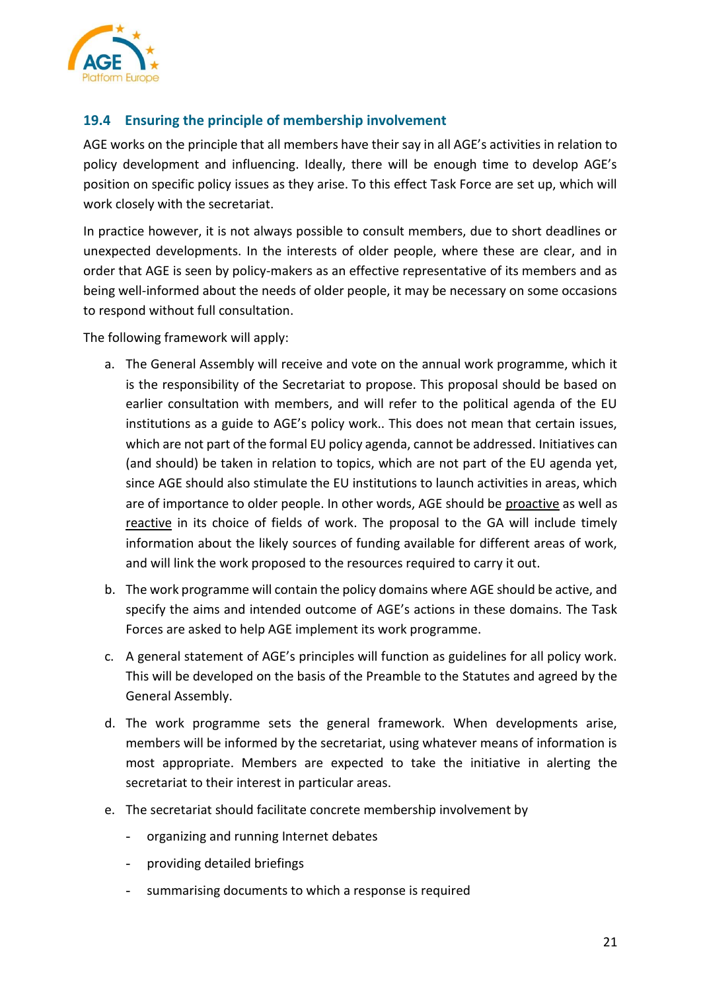

## <span id="page-20-0"></span>**19.4 Ensuring the principle of membership involvement**

AGE works on the principle that all members have their say in all AGE's activities in relation to policy development and influencing. Ideally, there will be enough time to develop AGE's position on specific policy issues as they arise. To this effect Task Force are set up, which will work closely with the secretariat.

In practice however, it is not always possible to consult members, due to short deadlines or unexpected developments. In the interests of older people, where these are clear, and in order that AGE is seen by policy-makers as an effective representative of its members and as being well-informed about the needs of older people, it may be necessary on some occasions to respond without full consultation.

The following framework will apply:

- a. The General Assembly will receive and vote on the annual work programme, which it is the responsibility of the Secretariat to propose. This proposal should be based on earlier consultation with members, and will refer to the political agenda of the EU institutions as a guide to AGE's policy work.. This does not mean that certain issues, which are not part of the formal EU policy agenda, cannot be addressed. Initiatives can (and should) be taken in relation to topics, which are not part of the EU agenda yet, since AGE should also stimulate the EU institutions to launch activities in areas, which are of importance to older people. In other words, AGE should be proactive as well as reactive in its choice of fields of work. The proposal to the GA will include timely information about the likely sources of funding available for different areas of work, and will link the work proposed to the resources required to carry it out.
- b. The work programme will contain the policy domains where AGE should be active, and specify the aims and intended outcome of AGE's actions in these domains. The Task Forces are asked to help AGE implement its work programme.
- c. A general statement of AGE's principles will function as guidelines for all policy work. This will be developed on the basis of the Preamble to the Statutes and agreed by the General Assembly.
- d. The work programme sets the general framework. When developments arise, members will be informed by the secretariat, using whatever means of information is most appropriate. Members are expected to take the initiative in alerting the secretariat to their interest in particular areas.
- e. The secretariat should facilitate concrete membership involvement by
	- organizing and running Internet debates
	- providing detailed briefings
	- summarising documents to which a response is required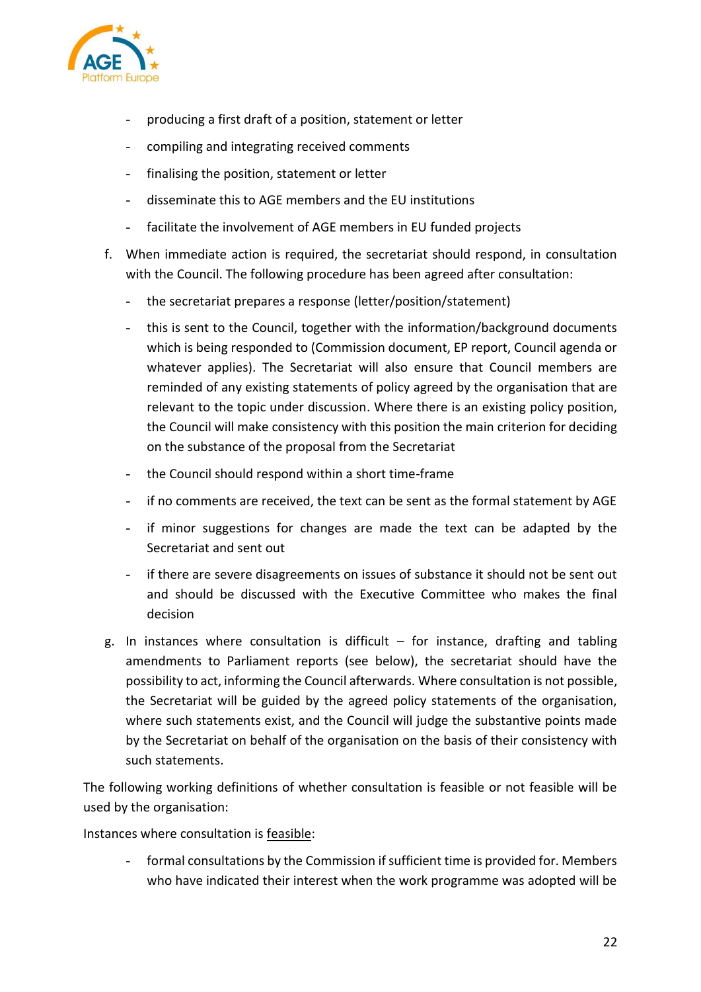

- producing a first draft of a position, statement or letter
- compiling and integrating received comments
- finalising the position, statement or letter
- disseminate this to AGE members and the EU institutions
- facilitate the involvement of AGE members in EU funded projects
- f. When immediate action is required, the secretariat should respond, in consultation with the Council. The following procedure has been agreed after consultation:
	- the secretariat prepares a response (letter/position/statement)
	- this is sent to the Council, together with the information/background documents which is being responded to (Commission document, EP report, Council agenda or whatever applies). The Secretariat will also ensure that Council members are reminded of any existing statements of policy agreed by the organisation that are relevant to the topic under discussion. Where there is an existing policy position, the Council will make consistency with this position the main criterion for deciding on the substance of the proposal from the Secretariat
	- the Council should respond within a short time-frame
	- if no comments are received, the text can be sent as the formal statement by AGE
	- if minor suggestions for changes are made the text can be adapted by the Secretariat and sent out
	- if there are severe disagreements on issues of substance it should not be sent out and should be discussed with the Executive Committee who makes the final decision
- g. In instances where consultation is difficult  $-$  for instance, drafting and tabling amendments to Parliament reports (see below), the secretariat should have the possibility to act, informing the Council afterwards. Where consultation is not possible, the Secretariat will be guided by the agreed policy statements of the organisation, where such statements exist, and the Council will judge the substantive points made by the Secretariat on behalf of the organisation on the basis of their consistency with such statements.

The following working definitions of whether consultation is feasible or not feasible will be used by the organisation:

Instances where consultation is feasible:

- formal consultations by the Commission if sufficient time is provided for. Members who have indicated their interest when the work programme was adopted will be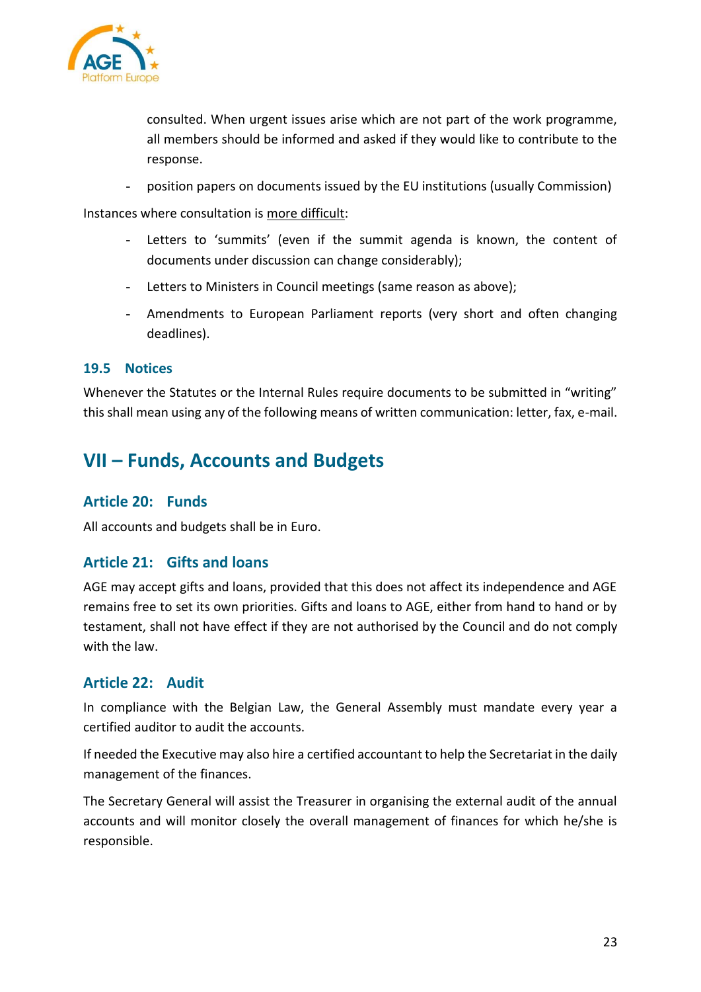

consulted. When urgent issues arise which are not part of the work programme, all members should be informed and asked if they would like to contribute to the response.

- position papers on documents issued by the EU institutions (usually Commission)

Instances where consultation is more difficult:

- Letters to 'summits' (even if the summit agenda is known, the content of documents under discussion can change considerably);
- Letters to Ministers in Council meetings (same reason as above);
- Amendments to European Parliament reports (very short and often changing deadlines).

#### <span id="page-22-0"></span>**19.5 Notices**

Whenever the Statutes or the Internal Rules require documents to be submitted in "writing" this shall mean using any of the following means of written communication: letter, fax, e-mail.

# <span id="page-22-1"></span>**VII – Funds, Accounts and Budgets**

#### <span id="page-22-2"></span>**Article 20: Funds**

All accounts and budgets shall be in Euro.

#### <span id="page-22-3"></span>**Article 21: Gifts and loans**

AGE may accept gifts and loans, provided that this does not affect its independence and AGE remains free to set its own priorities. Gifts and loans to AGE, either from hand to hand or by testament, shall not have effect if they are not authorised by the Council and do not comply with the law.

#### <span id="page-22-4"></span>**Article 22: Audit**

In compliance with the Belgian Law, the General Assembly must mandate every year a certified auditor to audit the accounts.

If needed the Executive may also hire a certified accountant to help the Secretariat in the daily management of the finances.

The Secretary General will assist the Treasurer in organising the external audit of the annual accounts and will monitor closely the overall management of finances for which he/she is responsible.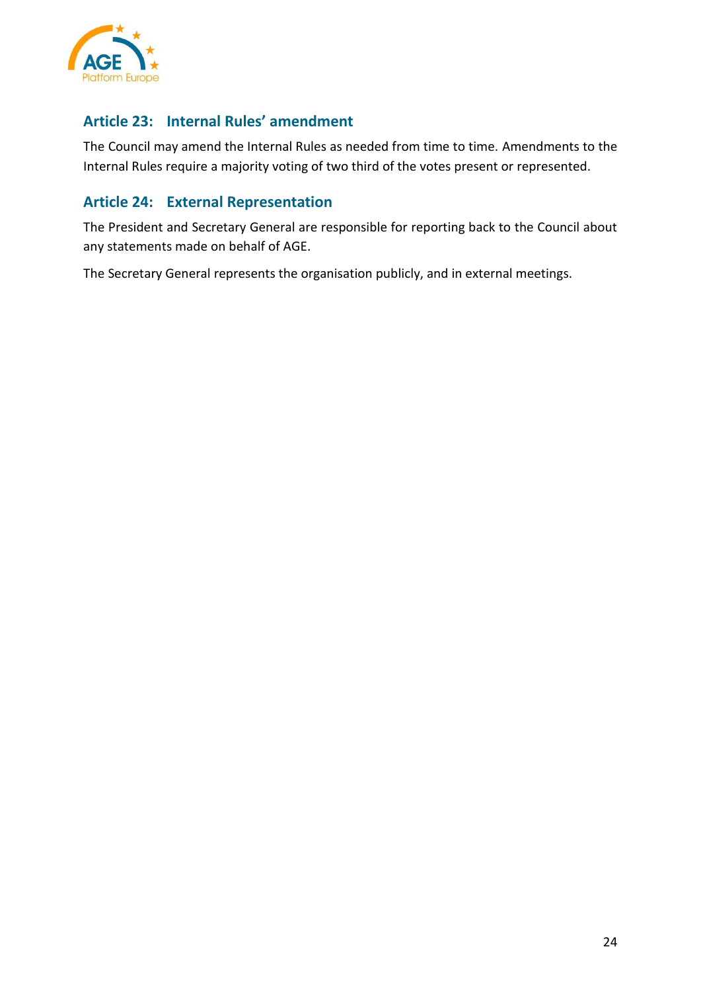

# <span id="page-23-0"></span>**Article 23: Internal Rules' amendment**

The Council may amend the Internal Rules as needed from time to time. Amendments to the Internal Rules require a majority voting of two third of the votes present or represented.

# <span id="page-23-1"></span>**Article 24: External Representation**

The President and Secretary General are responsible for reporting back to the Council about any statements made on behalf of AGE.

The Secretary General represents the organisation publicly, and in external meetings.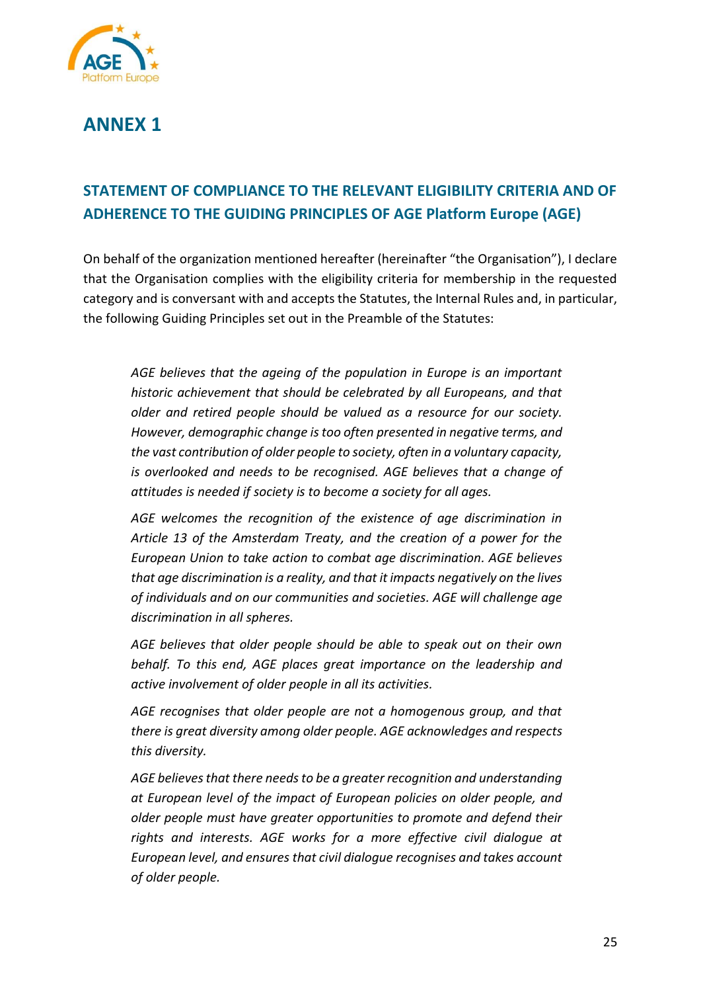

# <span id="page-24-0"></span>**ANNEX 1**

# <span id="page-24-1"></span>**STATEMENT OF COMPLIANCE TO THE RELEVANT ELIGIBILITY CRITERIA AND OF ADHERENCE TO THE GUIDING PRINCIPLES OF AGE Platform Europe (AGE)**

On behalf of the organization mentioned hereafter (hereinafter "the Organisation"), I declare that the Organisation complies with the eligibility criteria for membership in the requested category and is conversant with and accepts the Statutes, the Internal Rules and, in particular, the following Guiding Principles set out in the Preamble of the Statutes:

*AGE believes that the ageing of the population in Europe is an important historic achievement that should be celebrated by all Europeans, and that older and retired people should be valued as a resource for our society. However, demographic change is too often presented in negative terms, and the vast contribution of older people to society, often in a voluntary capacity, is overlooked and needs to be recognised. AGE believes that a change of attitudes is needed if society is to become a society for all ages.*

*AGE welcomes the recognition of the existence of age discrimination in Article 13 of the Amsterdam Treaty, and the creation of a power for the European Union to take action to combat age discrimination. AGE believes that age discrimination is a reality, and that it impacts negatively on the lives of individuals and on our communities and societies. AGE will challenge age discrimination in all spheres.*

*AGE believes that older people should be able to speak out on their own behalf. To this end, AGE places great importance on the leadership and active involvement of older people in all its activities.* 

*AGE recognises that older people are not a homogenous group, and that there is great diversity among older people. AGE acknowledges and respects this diversity.*

*AGE believes that there needs to be a greater recognition and understanding at European level of the impact of European policies on older people, and older people must have greater opportunities to promote and defend their rights and interests. AGE works for a more effective civil dialogue at European level, and ensures that civil dialogue recognises and takes account of older people.*